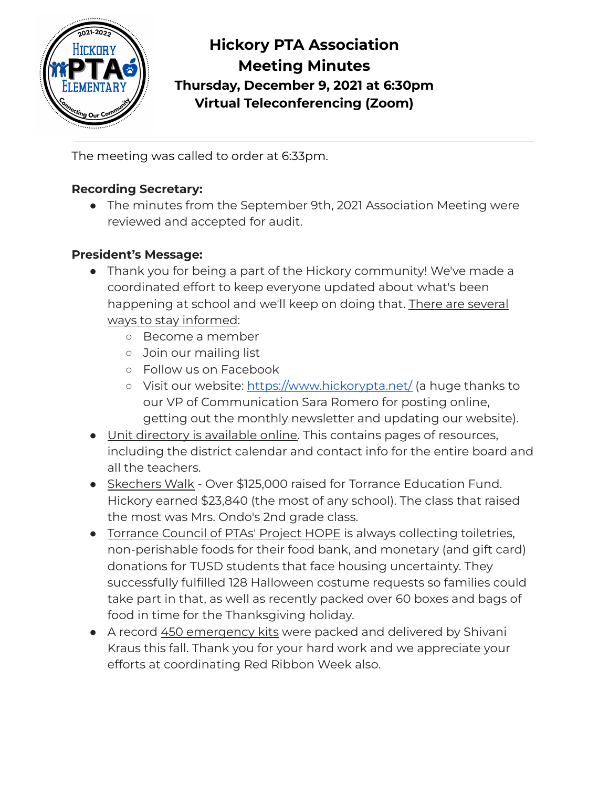

**Hickory PTA Association Meeting Minutes Thursday, December 9, 2021 at 6:30pm Virtual Teleconferencing (Zoom)**

The meeting was called to order at 6:33pm.

# **Recording Secretary:**

● The minutes from the September 9th, 2021 Association Meeting were reviewed and accepted for audit.

### **President's Message:**

- Thank you for being a part of the Hickory community! We've made a coordinated effort to keep everyone updated about what's been happening at school and we'll keep on doing that. There are several ways to stay informed:
	- Become a member
	- Join our mailing list
	- Follow us on Facebook
	- Visit our website: <https://www.hickorypta.net/> (a huge thanks to our VP of Communication Sara Romero for posting online, getting out the monthly newsletter and updating our website).
- Unit directory is available online. This contains pages of resources, including the district calendar and contact info for the entire board and all the teachers.
- Skechers Walk Over \$125,000 raised for Torrance Education Fund. Hickory earned \$23,840 (the most of any school). The class that raised the most was Mrs. Ondo's 2nd grade class.
- Torrance Council of PTAs' Project HOPE is always collecting toiletries, non-perishable foods for their food bank, and monetary (and gift card) donations for TUSD students that face housing uncertainty. They successfully fulfilled 128 Halloween costume requests so families could take part in that, as well as recently packed over 60 boxes and bags of food in time for the Thanksgiving holiday.
- A record 450 emergency kits were packed and delivered by Shivani Kraus this fall. Thank you for your hard work and we appreciate your efforts at coordinating Red Ribbon Week also.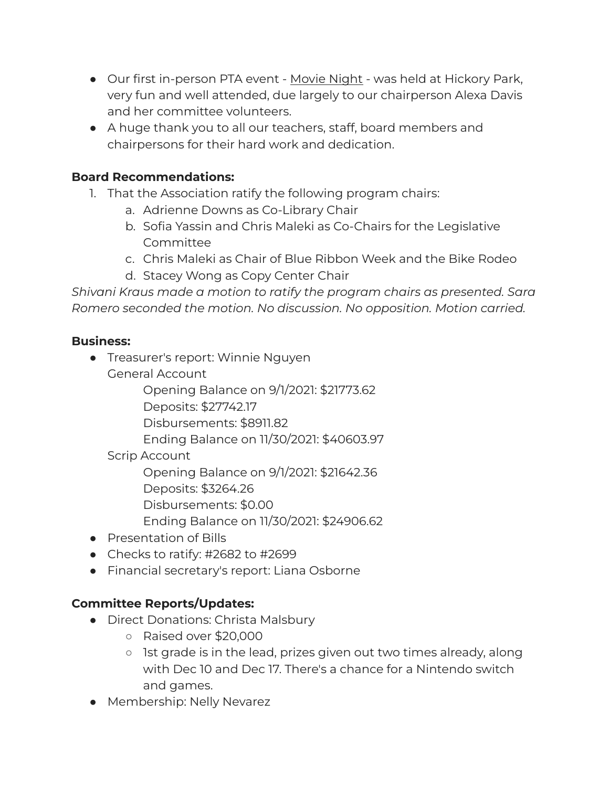- Our first in-person PTA event Movie Night was held at Hickory Park, very fun and well attended, due largely to our chairperson Alexa Davis and her committee volunteers.
- A huge thank you to all our teachers, staff, board members and chairpersons for their hard work and dedication.

### **Board Recommendations:**

- 1. That the Association ratify the following program chairs:
	- a. Adrienne Downs as Co-Library Chair
	- b. Sofia Yassin and Chris Maleki as Co-Chairs for the Legislative Committee
	- c. Chris Maleki as Chair of Blue Ribbon Week and the Bike Rodeo
	- d. Stacey Wong as Copy Center Chair

*Shivani Kraus made a motion to ratify the program chairs as presented. Sara Romero seconded the motion. No discussion. No opposition. Motion carried.*

#### **Business:**

- Treasurer's report: Winnie Nguyen General Account
	- Opening Balance on 9/1/2021: \$21773.62
	- Deposits: \$27742.17
	- Disbursements: \$8911.82
	- Ending Balance on 11/30/2021: \$40603.97
	- Scrip Account
		- Opening Balance on 9/1/2021: \$21642.36
		- Deposits: \$3264.26
		- Disbursements: \$0.00
		- Ending Balance on 11/30/2021: \$24906.62
- Presentation of Bills
- $\bullet$  Checks to ratify: #2682 to #2699
- Financial secretary's report: Liana Osborne

### **Committee Reports/Updates:**

- Direct Donations: Christa Malsbury
	- Raised over \$20,000
	- 1st grade is in the lead, prizes given out two times already, along with Dec 10 and Dec 17. There's a chance for a Nintendo switch and games.
- Membership: Nelly Nevarez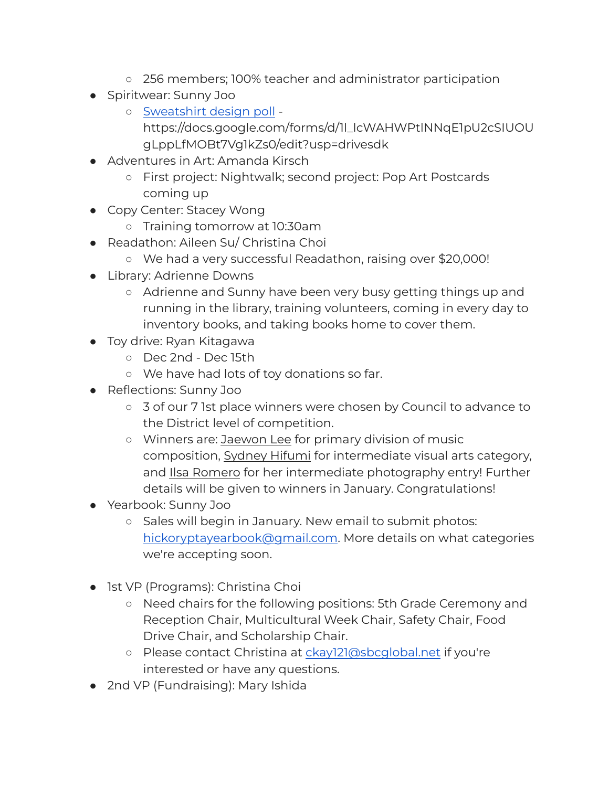- 256 members; 100% teacher and administrator participation
- Spiritwear: Sunny Joo
	- [Sweatshirt](https://docs.google.com/forms/d/1l_lcWAHWPtlNNqE1pU2cSIUOUgLppLfMOBt7Vg1kZs0/edit?usp=drivesdk) design poll https://docs.google.com/forms/d/1l\_lcWAHWPtlNNqE1pU2cSIUOU gLppLfMOBt7Vg1kZs0/edit?usp=drivesdk
- Adventures in Art: Amanda Kirsch
	- First project: Nightwalk; second project: Pop Art Postcards coming up
- Copy Center: Stacey Wong
	- Training tomorrow at 10:30am
- Readathon: Aileen Su/ Christina Choi
	- We had a very successful Readathon, raising over \$20,000!
- Library: Adrienne Downs
	- Adrienne and Sunny have been very busy getting things up and running in the library, training volunteers, coming in every day to inventory books, and taking books home to cover them.
- Toy drive: Ryan Kitagawa
	- Dec 2nd Dec 15th
	- We have had lots of toy donations so far.
- Reflections: Sunny Joo
	- 3 of our 7 1st place winners were chosen by Council to advance to the District level of competition.
	- Winners are: Jaewon Lee for primary division of music composition, Sydney Hifumi for intermediate visual arts category, and Ilsa Romero for her intermediate photography entry! Further details will be given to winners in January. Congratulations!
- Yearbook: Sunny Joo
	- Sales will begin in January. New email to submit photos: [hickoryptayearbook@gmail.com.](mailto:hickoryptayearbook@gmail.com) More details on what categories we're accepting soon.
- 1st VP (Programs): Christina Choi
	- Need chairs for the following positions: 5th Grade Ceremony and Reception Chair, Multicultural Week Chair, Safety Chair, Food Drive Chair, and Scholarship Chair.
	- Please contact Christina at [ckay121@sbcglobal.net](mailto:ckay121@sbcglobal.net) if you're interested or have any questions.
- 2nd VP (Fundraising): Mary Ishida